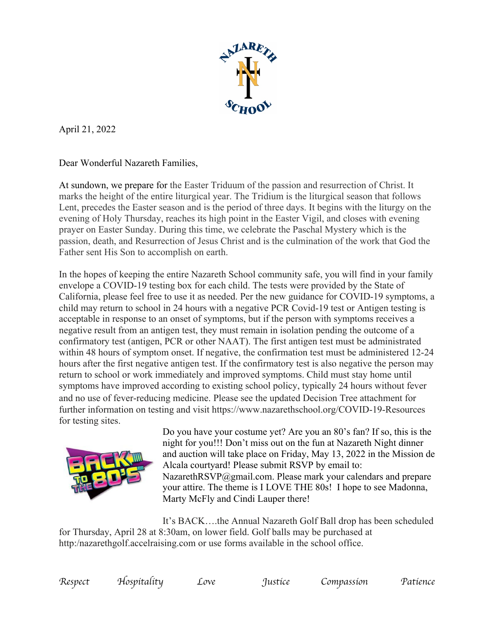

April 21, 2022

Dear Wonderful Nazareth Families,

At sundown, we prepare for the Easter Triduum of the passion and resurrection of Christ. It marks the height of the entire liturgical year. The Tridium is the liturgical season that follows Lent, precedes the Easter season and is the period of three days. It begins with the liturgy on the evening of Holy Thursday, reaches its high point in the Easter Vigil, and closes with evening prayer on Easter Sunday. During this time, we celebrate the Paschal Mystery which is the passion, death, and Resurrection of Jesus Christ and is the culmination of the work that God the Father sent His Son to accomplish on earth.

In the hopes of keeping the entire Nazareth School community safe, you will find in your family envelope a COVID-19 testing box for each child. The tests were provided by the State of California, please feel free to use it as needed. Per the new guidance for COVID-19 symptoms, a child may return to school in 24 hours with a negative PCR Covid-19 test or Antigen testing is acceptable in response to an onset of symptoms, but if the person with symptoms receives a negative result from an antigen test, they must remain in isolation pending the outcome of a confirmatory test (antigen, PCR or other NAAT). The first antigen test must be administrated within 48 hours of symptom onset. If negative, the confirmation test must be administered 12-24 hours after the first negative antigen test. If the confirmatory test is also negative the person may return to school or work immediately and improved symptoms. Child must stay home until symptoms have improved according to existing school policy, typically 24 hours without fever and no use of fever-reducing medicine. Please see the updated Decision Tree attachment for further information on testing and visit https://www.nazarethschool.org/COVID-19-Resources for testing sites.



Do you have your costume yet? Are you an 80's fan? If so, this is the night for you!!! Don't miss out on the fun at Nazareth Night dinner and auction will take place on Friday, May 13, 2022 in the Mission de Alcala courtyard! Please submit RSVP by email to: NazarethRSVP@gmail.com. Please mark your calendars and prepare your attire. The theme is I LOVE THE 80s! I hope to see Madonna, Marty McFly and Cindi Lauper there!

It's BACK….the Annual Nazareth Golf Ball drop has been scheduled for Thursday, April 28 at 8:30am, on lower field. Golf balls may be purchased at http:/nazarethgolf.accelraising.com or use forms available in the school office.

| spect |  |
|-------|--|
|       |  |

*Respect Hospitality Love Justice Compassion Patience*